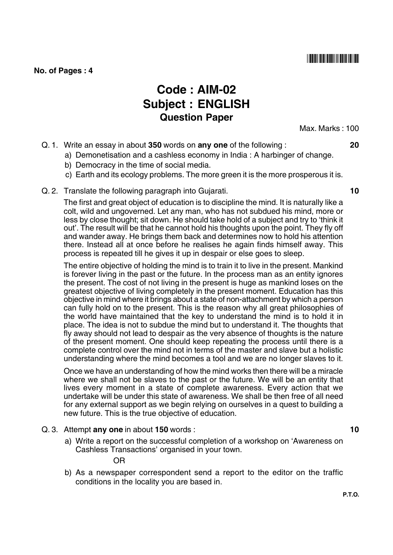||**|||||||||||||||||||||||||||||||** 

#### **No. of Pages : 4**

# **Code : AIM-02 Subject : ENGLISH Question Paper**

Max. Marks : 100

- Q. 1. Write an essay in about **350** words on **any one** of the following : **20**
	- a) Demonetisation and a cashless economy in India : A harbinger of change.
	- b) Democracy in the time of social media.
	- c) Earth and its ecology problems. The more green it is the more prosperous it is.
- Q. 2. Translate the following paragraph into Gujarati. **10**

The first and great object of education is to discipline the mind. It is naturally like a colt, wild and ungoverned. Let any man, who has not subdued his mind, more or less by close thought; sit down. He should take hold of a subject and try to 'think it out'. The result will be that he cannot hold his thoughts upon the point. They fly off and wander away. He brings them back and determines now to hold his attention there. Instead all at once before he realises he again finds himself away. This process is repeated till he gives it up in despair or else goes to sleep.

The entire objective of holding the mind is to train it to live in the present. Mankind is forever living in the past or the future. In the process man as an entity ignores the present. The cost of not living in the present is huge as mankind loses on the greatest objective of living completely in the present moment. Education has this objective in mind where it brings about a state of non-attachment by which a person can fully hold on to the present. This is the reason why all great philosophies of the world have maintained that the key to understand the mind is to hold it in place. The idea is not to subdue the mind but to understand it. The thoughts that fly away should not lead to despair as the very absence of thoughts is the nature of the present moment. One should keep repeating the process until there is a complete control over the mind not in terms of the master and slave but a holistic understanding where the mind becomes a tool and we are no longer slaves to it.

Once we have an understanding of how the mind works then there will be a miracle where we shall not be slaves to the past or the future. We will be an entity that lives every moment in a state of complete awareness. Every action that we undertake will be under this state of awareness. We shall be then free of all need for any external support as we begin relying on ourselves in a quest to building a new future. This is the true objective of education.

- Q. 3. Attempt **any one** in about **150** words : **10**
	- a) Write a report on the successful completion of a workshop on 'Awareness on Cashless Transactions' organised in your town.

OR

b) As a newspaper correspondent send a report to the editor on the traffic conditions in the locality you are based in.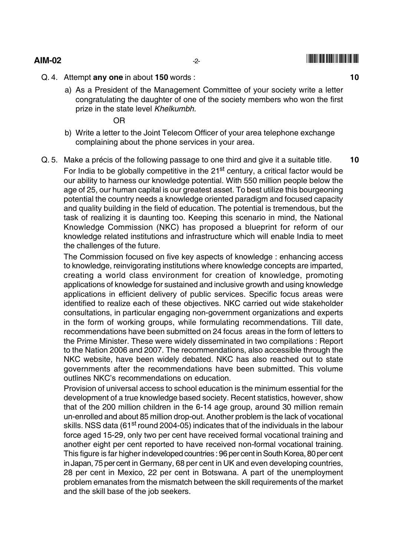## **AIM-02**  $\qquad \qquad \qquad$   $\qquad \qquad$   $\qquad \qquad$   $\qquad \qquad$   $\qquad \qquad$   $\qquad \qquad$   $\qquad$   $\qquad$   $\qquad$   $\qquad$   $\qquad$   $\qquad$   $\qquad$   $\qquad$   $\qquad$   $\qquad$   $\qquad$   $\qquad$   $\qquad$   $\qquad$   $\qquad$   $\qquad$   $\qquad$   $\qquad$   $\qquad$   $\qquad$   $\qquad$   $\qquad$   $\qquad$   $\qquad$   $\qquad$   $\qquad$

-

- Q. 4. Attempt **any one** in about **150** words : **10**
	- a) As a President of the Management Committee of your society write a letter congratulating the daughter of one of the society members who won the first prize in the state level *Khelkumbh.*

OR

- b) Write a letter to the Joint Telecom Officer of your area telephone exchange complaining about the phone services in your area.
- Q. 5. Make a précis of the following passage to one third and give it a suitable title. **10** For India to be globally competitive in the 21<sup>st</sup> century, a critical factor would be our ability to harness our knowledge potential. With 550 million people below the age of 25, our human capital is our greatest asset. To best utilize this bourgeoning potential the country needs a knowledge oriented paradigm and focused capacity and quality building in the field of education. The potential is tremendous, but the task of realizing it is daunting too. Keeping this scenario in mind, the National Knowledge Commission (NKC) has proposed a blueprint for reform of our knowledge related institutions and infrastructure which will enable India to meet the challenges of the future.

The Commission focused on five key aspects of knowledge : enhancing access to knowledge, reinvigorating institutions where knowledge concepts are imparted, creating a world class environment for creation of knowledge, promoting applications of knowledge for sustained and inclusive growth and using knowledge applications in efficient delivery of public services. Specific focus areas were identified to realize each of these objectives. NKC carried out wide stakeholder consultations, in particular engaging non-government organizations and experts in the form of working groups, while formulating recommendations. Till date, recommendations have been submitted on 24 focus areas in the form of letters to the Prime Minister. These were widely disseminated in two compilations : Report to the Nation 2006 and 2007. The recommendations, also accessible through the NKC website, have been widely debated. NKC has also reached out to state governments after the recommendations have been submitted. This volume outlines NKC's recommendations on education.

Provision of universal access to school education is the minimum essential for the development of a true knowledge based society. Recent statistics, however, show that of the 200 million children in the 6-14 age group, around 30 million remain un-enrolled and about 85 million drop-out. Another problem is the lack of vocational skills. NSS data (61<sup>st</sup> round 2004-05) indicates that of the individuals in the labour force aged 15-29, only two per cent have received formal vocational training and another eight per cent reported to have received non-formal vocational training. This figure is far higher in developed countries : 96 per cent in South Korea, 80 per cent in Japan, 75 per cent in Germany, 68 per cent in UK and even developing countries, 28 per cent in Mexico, 22 per cent in Botswana. A part of the unemployment problem emanates from the mismatch between the skill requirements of the market and the skill base of the job seekers.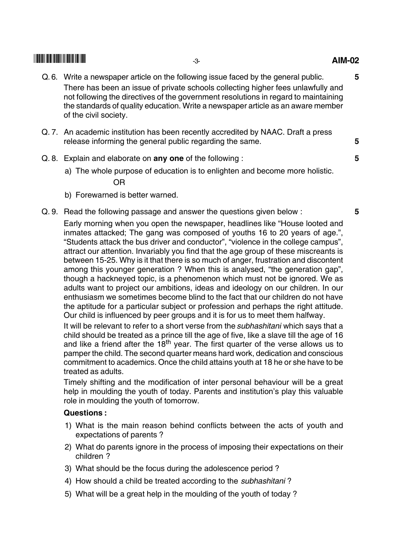### --

- Q. 6. Write a newspaper article on the following issue faced by the general public. **5** There has been an issue of private schools collecting higher fees unlawfully and not following the directives of the government resolutions in regard to maintaining the standards of quality education. Write a newspaper article as an aware member of the civil society.
- Q. 7. An academic institution has been recently accredited by NAAC. Draft a press release informing the general public regarding the same. **5**
- Q. 8. Explain and elaborate on **any one** of the following : **5**
	- a) The whole purpose of education is to enlighten and become more holistic. OR
	- b) Forewarned is better warned.
- Q. 9. Read the following passage and answer the questions given below : **5**

Early morning when you open the newspaper, headlines like "House looted and inmates attacked; The gang was composed of youths 16 to 20 years of age.", "Students attack the bus driver and conductor", "violence in the college campus", attract our attention. Invariably you find that the age group of these miscreants is between 15-25. Why is it that there is so much of anger, frustration and discontent among this younger generation ? When this is analysed, "the generation gap", though a hackneyed topic, is a phenomenon which must not be ignored. We as adults want to project our ambitions, ideas and ideology on our children. In our enthusiasm we sometimes become blind to the fact that our children do not have the aptitude for a particular subject or profession and perhaps the right attitude. Our child is influenced by peer groups and it is for us to meet them halfway.

It will be relevant to refer to a short verse from the *subhashitani* which says that a child should be treated as a prince till the age of five, like a slave till the age of 16 and like a friend after the  $18<sup>th</sup>$  year. The first quarter of the verse allows us to pamper the child. The second quarter means hard work, dedication and conscious commitment to academics. Once the child attains youth at 18 he or she have to be treated as adults.

Timely shifting and the modification of inter personal behaviour will be a great help in moulding the youth of today. Parents and institution's play this valuable role in moulding the youth of tomorrow.

### **Questions :**

- 1) What is the main reason behind conflicts between the acts of youth and expectations of parents ?
- 2) What do parents ignore in the process of imposing their expectations on their children ?
- 3) What should be the focus during the adolescence period ?
- 4) How should a child be treated according to the *subhashitani* ?
- 5) What will be a great help in the moulding of the youth of today ?